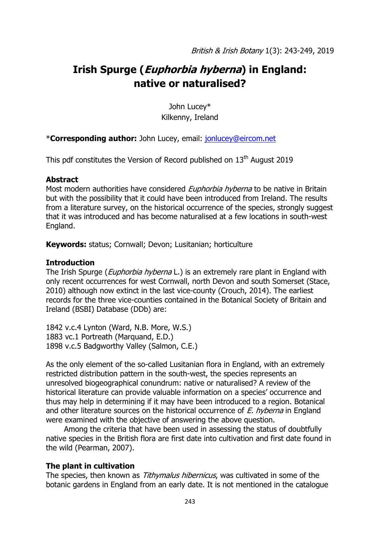# **Irish Spurge (Euphorbia hyberna) in England: native or naturalised?**

John Lucey\* Kilkenny, Ireland

### \***Corresponding author:** John Lucey, email: [jonlucey@eircom.net](mailto:jonlucey@eircom.net)

This pdf constitutes the Version of Record published on  $13<sup>th</sup>$  August 2019

#### **Abstract**

Most modern authorities have considered *Euphorbia hyberna* to be native in Britain but with the possibility that it could have been introduced from Ireland. The results from a literature survey, on the historical occurrence of the species, strongly suggest that it was introduced and has become naturalised at a few locations in south-west England.

**Keywords:** status; Cornwall; Devon; Lusitanian; horticulture

### **Introduction**

The Irish Spurge (*Euphorbia hyberna* L.) is an extremely rare plant in England with only recent occurrences for west Cornwall, north Devon and south Somerset (Stace, 2010) although now extinct in the last vice-county (Crouch, 2014). The earliest records for the three vice-counties contained in the Botanical Society of Britain and Ireland (BSBI) Database (DDb) are:

1842 v.c.4 Lynton (Ward, N.B. More, W.S.) 1883 vc.1 Portreath (Marquand, E.D.) 1898 v.c.5 Badgworthy Valley (Salmon, C.E.)

As the only element of the so-called Lusitanian flora in England, with an extremely restricted distribution pattern in the south-west, the species represents an unresolved biogeographical conundrum: native or naturalised? A review of the historical literature can provide valuable information on a species' occurrence and thus may help in determining if it may have been introduced to a region. Botanical and other literature sources on the historical occurrence of  $E$ . hyberna in England were examined with the objective of answering the above question.

Among the criteria that have been used in assessing the status of doubtfully native species in the British flora are first date into cultivation and first date found in the wild (Pearman, 2007).

### **The plant in cultivation**

The species, then known as *Tithymalus hibernicus*, was cultivated in some of the botanic gardens in England from an early date. It is not mentioned in the catalogue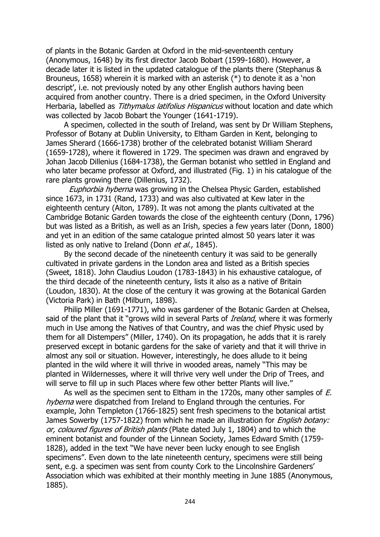of plants in the Botanic Garden at Oxford in the mid-seventeenth century (Anonymous, 1648) by its first director Jacob Bobart (1599-1680). However, a decade later it is listed in the updated catalogue of the plants there (Stephanus & Brouneus, 1658) wherein it is marked with an asterisk (\*) to denote it as a 'non descript', i.e. not previously noted by any other English authors having been acquired from another country. There is a dried specimen, in the Oxford University Herbaria, labelled as *Tithymalus latifolius Hispanicus* without location and date which was collected by Jacob Bobart the Younger (1641-1719).

A specimen, collected in the south of Ireland, was sent by Dr William Stephens, Professor of Botany at Dublin University, to Eltham Garden in Kent, belonging to James Sherard (1666-1738) brother of the celebrated botanist William Sherard (1659-1728), where it flowered in 1729. The specimen was drawn and engraved by Johan Jacob Dillenius (1684-1738), the German botanist who settled in England and who later became professor at Oxford, and illustrated (Fig. 1) in his catalogue of the rare plants growing there (Dillenius, 1732).

Euphorbia hyberna was growing in the Chelsea Physic Garden, established since 1673, in 1731 (Rand, 1733) and was also cultivated at Kew later in the eighteenth century (Aiton, 1789). It was not among the plants cultivated at the Cambridge Botanic Garden towards the close of the eighteenth century (Donn, 1796) but was listed as a British, as well as an Irish, species a few years later (Donn, 1800) and yet in an edition of the same catalogue printed almost 50 years later it was listed as only native to Ireland (Donn et al., 1845).

By the second decade of the nineteenth century it was said to be generally cultivated in private gardens in the London area and listed as a British species (Sweet, 1818). John Claudius Loudon (1783-1843) in his exhaustive catalogue, of the third decade of the nineteenth century, lists it also as a native of Britain (Loudon, 1830). At the close of the century it was growing at the Botanical Garden (Victoria Park) in Bath (Milburn, 1898).

Philip Miller (1691-1771), who was gardener of the Botanic Garden at Chelsea, said of the plant that it "grows wild in several Parts of *Ireland*, where it was formerly much in Use among the Natives of that Country, and was the chief Physic used by them for all Distempers" (Miller, 1740). On its propagation, he adds that it is rarely preserved except in botanic gardens for the sake of variety and that it will thrive in almost any soil or situation. However, interestingly, he does allude to it being planted in the wild where it will thrive in wooded areas, namely "This may be planted in Wildernesses, where it will thrive very well under the Drip of Trees, and will serve to fill up in such Places where few other better Plants will live."

As well as the specimen sent to Eltham in the 1720s, many other samples of E. hyberna were dispatched from Ireland to England through the centuries. For example, John Templeton (1766-1825) sent fresh specimens to the botanical artist James Sowerby (1757-1822) from which he made an illustration for *English botany:* or, coloured figures of British plants (Plate dated July 1, 1804) and to which the eminent botanist and founder of the Linnean Society, James Edward Smith (1759- 1828), added in the text "We have never been lucky enough to see English specimens". Even down to the late nineteenth century, specimens were still being sent, e.g. a specimen was sent from county Cork to the Lincolnshire Gardeners' Association which was exhibited at their monthly meeting in June 1885 (Anonymous, 1885).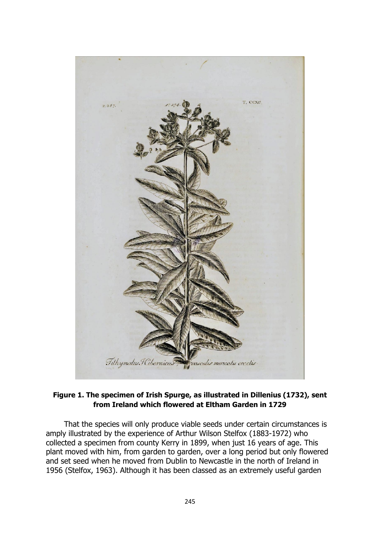

### **Figure 1. The specimen of Irish Spurge, as illustrated in Dillenius (1732), sent from Ireland which flowered at Eltham Garden in 1729**

That the species will only produce viable seeds under certain circumstances is amply illustrated by the experience of Arthur Wilson Stelfox (1883-1972) who collected a specimen from county Kerry in 1899, when just 16 years of age. This plant moved with him, from garden to garden, over a long period but only flowered and set seed when he moved from Dublin to Newcastle in the north of Ireland in 1956 (Stelfox, 1963). Although it has been classed as an extremely useful garden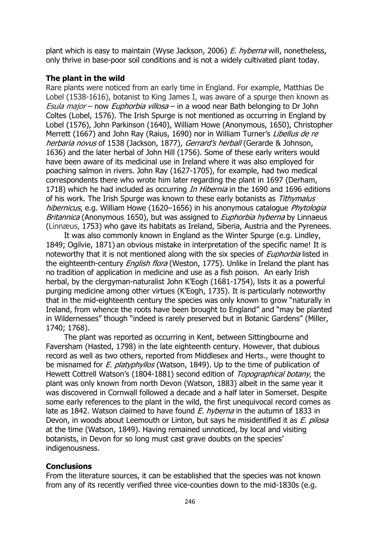plant which is easy to maintain (Wyse Jackson, 2006) E. hyberna will, nonetheless, only thrive in base-poor soil conditions and is not a widely cultivated plant today.

### **The plant in the wild**

Rare plants were noticed from an early time in England. For example, Matthias De Lobel (1538-1616), botanist to King James I, was aware of a spurge then known as Esula major – now Euphorbia villosa – in a wood near Bath belonging to Dr John Coltes (Lobel, 1576). The Irish Spurge is not mentioned as occurring in England by Lobel (1576), John Parkinson (1640), William Howe (Anonymous, 1650), Christopher Merrett (1667) and John Ray (Raius, 1690) nor in William Turner's Libellus de re herbaria novus of 1538 (Jackson, 1877), Gerrard's herball (Gerarde & Johnson, 1636) and the later herbal of John Hill (1756). Some of these early writers would have been aware of its medicinal use in Ireland where it was also employed for poaching salmon in rivers. John Ray (1627-1705), for example, had two medical correspondents there who wrote him later regarding the plant in 1697 (Derham, 1718) which he had included as occurring *In Hibernia* in the 1690 and 1696 editions of his work. The Irish Spurge was known to these early botanists as Tithymalus hibernicus, e.g. William Howe (1620–1656) in his anonymous catalogue *Phytologia* Britannica (Anonymous 1650), but was assigned to *Euphorbia hyberna* by Linnaeus (Linnæus, 1753) who gave its habitats as Ireland, Siberia, Austria and the Pyrenees.

It was also commonly known in England as the Winter Spurge (e.g. Lindley, 1849; Ogilvie, 1871) an obvious mistake in interpretation of the specific name! It is noteworthy that it is not mentioned along with the six species of *Euphorbia* listed in the eighteenth-century *English flora* (Weston, 1775). Unlike in Ireland the plant has no tradition of application in medicine and use as a fish poison. An early Irish herbal, by the clergyman-naturalist John K'Eogh (1681-1754), lists it as a powerful purging medicine among other virtues (K'Eogh, 1735). It is particularly noteworthy that in the mid-eighteenth century the species was only known to grow "naturally in Ireland, from whence the roots have been brought to England" and "may be planted in Wildernesses" though "indeed is rarely preserved but in Botanic Gardens" (Miller, 1740; 1768).

The plant was reported as occurring in Kent, between Sittingbourne and Faversham (Hasted, 1798) in the late eighteenth century. However, that dubious record as well as two others, reported from Middlesex and Herts., were thought to be misnamed for *E. platyphyllos* (Watson, 1849). Up to the time of publication of Hewett Cottrell Watson's (1804-1881) second edition of Topographical botany, the plant was only known from north Devon (Watson, 1883) albeit in the same year it was discovered in Cornwall followed a decade and a half later in Somerset. Despite some early references to the plant in the wild, the first unequivocal record comes as late as 1842. Watson claimed to have found  $E$ , *hyberna* in the autumn of 1833 in Devon, in woods about Leemouth or Linton, but says he misidentified it as *E. pilosa* at the time (Watson, 1849). Having remained unnoticed, by local and visiting botanists, in Devon for so long must cast grave doubts on the species' indigenousness.

## **Conclusions**

From the literature sources, it can be established that the species was not known from any of its recently verified three vice-counties down to the mid-1830s (e.g.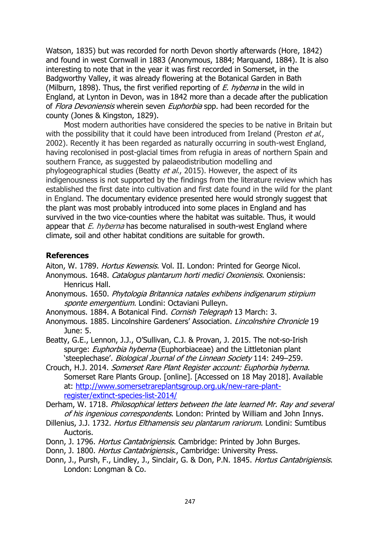Watson, 1835) but was recorded for north Devon shortly afterwards (Hore, 1842) and found in west Cornwall in 1883 (Anonymous, 1884; Marquand, 1884). It is also interesting to note that in the year it was first recorded in Somerset, in the Badgworthy Valley, it was already flowering at the Botanical Garden in Bath (Milburn, 1898). Thus, the first verified reporting of  $E$ . hyberna in the wild in England, at Lynton in Devon, was in 1842 more than a decade after the publication of Flora Devoniensis wherein seven Euphorbia spp. had been recorded for the county (Jones & Kingston, 1829).

Most modern authorities have considered the species to be native in Britain but with the possibility that it could have been introduced from Ireland (Preston et al., 2002). Recently it has been regarded as naturally occurring in south-west England, having recolonised in post-glacial times from refugia in areas of northern Spain and southern France, as suggested by palaeodistribution modelling and phylogeographical studies (Beatty et al., 2015). However, the aspect of its indigenousness is not supported by the findings from the literature review which has established the first date into cultivation and first date found in the wild for the plant in England. The documentary evidence presented here would strongly suggest that the plant was most probably introduced into some places in England and has survived in the two vice-counties where the habitat was suitable. Thus, it would appear that  $E$ . hyberna has become naturalised in south-west England where climate, soil and other habitat conditions are suitable for growth.

#### **References**

Aiton, W. 1789. Hortus Kewensis. Vol. II. London: Printed for George Nicol.

- Anonymous. 1648. Catalogus plantarum horti medici Oxoniensis. Oxoniensis: Henricus Hall.
- Anonymous. 1650. Phytologia Britannica natales exhibens indigenarum stirpium sponte emergentium. Londini: Octaviani Pulleyn.
- Anonymous. 1884. A Botanical Find. Cornish Telegraph 13 March: 3.
- Anonymous. 1885. Lincolnshire Gardeners' Association. *Lincolnshire Chronicle* 19 June: 5.
- Beatty, G.E., Lennon, J.J., O'Sullivan, C.J. & Provan, J. 2015. The not-so-Irish spurge: Euphorbia hyberna (Euphorbiaceae) and the Littletonian plant 'steeplechase'. Biological Journal of the Linnean Society 114: 249–259.
- Crouch, H.J. 2014. Somerset Rare Plant Register account: Euphorbia hyberna. Somerset Rare Plants Group. [online]. [Accessed on 18 May 2018]. Available at: [http://www.somersetrareplantsgroup.org.uk/new-rare-plant](http://www.somersetrareplantsgroup.org.uk/new-rare-plant-register/extinct-species-list-2014/)[register/extinct-species-list-2014/](http://www.somersetrareplantsgroup.org.uk/new-rare-plant-register/extinct-species-list-2014/)
- Derham, W. 1718. Philosophical letters between the late learned Mr. Ray and several of his ingenious correspondents. London: Printed by William and John Innys.
- Dillenius, J.J. 1732. Hortus Elthamensis seu plantarum rariorum. Londini: Sumtibus Auctoris.
- Donn, J. 1796. Hortus Cantabrigiensis. Cambridge: Printed by John Burges.
- Donn, J. 1800. *Hortus Cantabrigiensis.*, Cambridge: University Press.
- Donn, J., Pursh, F., Lindley, J., Sinclair, G. & Don, P.N. 1845. Hortus Cantabrigiensis. London: Longman & Co.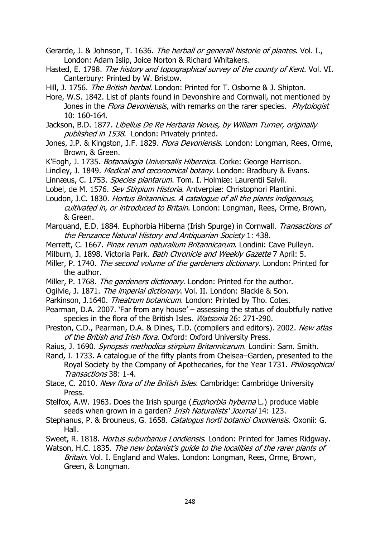Gerarde, J. & Johnson, T. 1636. The herball or generall historie of plantes. Vol. I., London: Adam Islip, Joice Norton & Richard Whitakers.

Hasted, E. 1798. The history and topographical survey of the county of Kent. Vol. VI. Canterbury: Printed by W. Bristow.

Hill, J. 1756. The British herbal. London: Printed for T. Osborne & J. Shipton.

- Hore, W.S. 1842. List of plants found in Devonshire and Cornwall, not mentioned by Jones in the Flora Devoniensis, with remarks on the rarer species. Phytologist 10: 160-164.
- Jackson, B.D. 1877. Libellus De Re Herbaria Novus, by William Turner, originally published in 1538. London: Privately printed.
- Jones, J.P. & Kingston, J.F. 1829. Flora Devoniensis. London: Longman, Rees, Orme, Brown, & Green.
- K'Eogh, J. 1735. Botanalogia Universalis Hibernica. Corke: George Harrison.

Lindley, J. 1849. Medical and œconomical botany. London: Bradbury & Evans.

Linnæus, C. 1753. *Species plantarum*. Tom. I. Holmiæ: Laurentii Salvii.

Lobel, de M. 1576. Sev Stirpium Historia. Antverpiæ: Christophori Plantini.

Loudon, J.C. 1830. Hortus Britannicus. A catalogue of all the plants indigenous, cultivated in, or introduced to Britain. London: Longman, Rees, Orme, Brown, & Green.

Marquand, E.D. 1884. Euphorbia Hiberna (Irish Spurge) in Cornwall. Transactions of the Penzance Natural History and Antiquarian Society 1: 438.

- Merrett, C. 1667. Pinax rerum naturalium Britannicarum. Londini: Cave Pulleyn.
- Milburn, J. 1898. Victoria Park. Bath Chronicle and Weekly Gazette 7 April: 5.

Miller, P. 1740. The second volume of the gardeners dictionary. London: Printed for the author.

- Miller, P. 1768. The gardeners dictionary. London: Printed for the author.
- Ogilvie, J. 1871. The imperial dictionary. Vol. II. London: Blackie & Son.
- Parkinson, J.1640. Theatrum botanicum. London: Printed by Tho. Cotes.
- Pearman, D.A. 2007. 'Far from any house' assessing the status of doubtfully native species in the flora of the British Isles. Watsonia 26: 271-290.
- Preston, C.D., Pearman, D.A. & Dines, T.D. (compilers and editors). 2002. New atlas of the British and Irish flora. Oxford: Oxford University Press.
- Raius, J. 1690. Synopsis methodica stirpium Britannicarum. Londini: Sam. Smith.
- Rand, I. 1733. A catalogue of the fifty plants from Chelsea–Garden, presented to the Royal Society by the Company of Apothecaries, for the Year 1731. Philosophical Transactions 38: 1-4.

Stace, C. 2010. New flora of the British Isles. Cambridge: Cambridge University Press.

- Stelfox, A.W. 1963. Does the Irish spurge (*Euphorbia hyberna* L.) produce viable seeds when grown in a garden? *Irish Naturalists' Journal* 14: 123.
- Stephanus, P. & Brouneus, G. 1658. Catalogus horti botanici Oxoniensis. Oxonii: G. Hall.
- Sweet, R. 1818. Hortus suburbanus Londiensis. London: Printed for James Ridgway.

Watson, H.C. 1835. The new botanist's guide to the localities of the rarer plants of Britain. Vol. I. England and Wales. London: Longman, Rees, Orme, Brown, Green, & Longman.